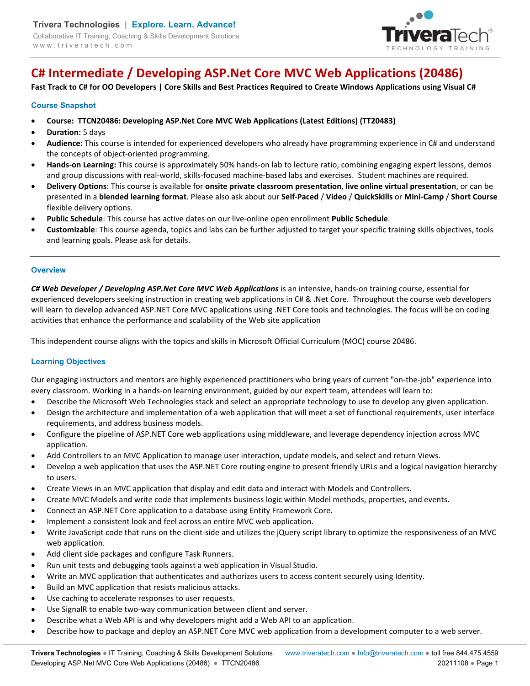

# **C# Intermediate / Developing ASP.Net Core MVC Web Applications (20486)**

**Fast Track to C# for OO Developers | Core Skills and Best Practices Required to Create Windows Applications using Visual C#** 

## **Course Snapshot**

- **Course: TTCN20486: Developing ASP.Net Core MVC Web Applications (Latest Editions) (TT20483)**
- **Duration:** 5 days
- **Audience:** This course is intended for experienced developers who already have programming experience in C# and understand the concepts of object-oriented programming.
- **Hands-on Learning:** This course is approximately 50% hands-on lab to lecture ratio, combining engaging expert lessons, demos and group discussions with real-world, skills-focused machine-based labs and exercises. Student machines are required.
- **Delivery Options**: This course is available for **onsite private classroom presentation**, **live online virtual presentation**, or can be presented in a **blended learning format**. Please also ask about our **Self-Paced** / **Video** / **QuickSkills** or **Mini-Camp** / **Short Course** flexible delivery options.
- **Public Schedule**: This course has active dates on our live-online open enrollment **Public Schedule**.
- **Customizable**: This course agenda, topics and labs can be further adjusted to target your specific training skills objectives, tools and learning goals. Please ask for details.

#### **Overview**

*C# Web Developer / Developing ASP.Net Core MVC Web Applications* is an intensive, hands-on training course, essential for experienced developers seeking instruction in creating web applications in C# & .Net Core. Throughout the course web developers will learn to develop advanced ASP.NET Core MVC applications using .NET Core tools and technologies. The focus will be on coding activities that enhance the performance and scalability of the Web site application

This independent course aligns with the topics and skills in Microsoft Official Curriculum (MOC) course 20486.

# **Learning Objectives**

Our engaging instructors and mentors are highly experienced practitioners who bring years of current "on-the-job" experience into every classroom. Working in a hands-on learning environment, guided by our expert team, attendees will learn to:

- Describe the Microsoft Web Technologies stack and select an appropriate technology to use to develop any given application.
- Design the architecture and implementation of a web application that will meet a set of functional requirements, user interface requirements, and address business models.
- Configure the pipeline of ASP.NET Core web applications using middleware, and leverage dependency injection across MVC application.
- Add Controllers to an MVC Application to manage user interaction, update models, and select and return Views.
- Develop a web application that uses the ASP.NET Core routing engine to present friendly URLs and a logical navigation hierarchy to users.
- Create Views in an MVC application that display and edit data and interact with Models and Controllers.
- Create MVC Models and write code that implements business logic within Model methods, properties, and events.
- Connect an ASP.NET Core application to a database using Entity Framework Core.
- Implement a consistent look and feel across an entire MVC web application.
- Write JavaScript code that runs on the client-side and utilizes the jQuery script library to optimize the responsiveness of an MVC web application.
- Add client side packages and configure Task Runners.
- Run unit tests and debugging tools against a web application in Visual Studio.
- Write an MVC application that authenticates and authorizes users to access content securely using Identity.
- Build an MVC application that resists malicious attacks.
- Use caching to accelerate responses to user requests.
- Use SignalR to enable two-way communication between client and server.
- Describe what a Web API is and why developers might add a Web API to an application.
- Describe how to package and deploy an ASP.NET Core MVC web application from a development computer to a web server.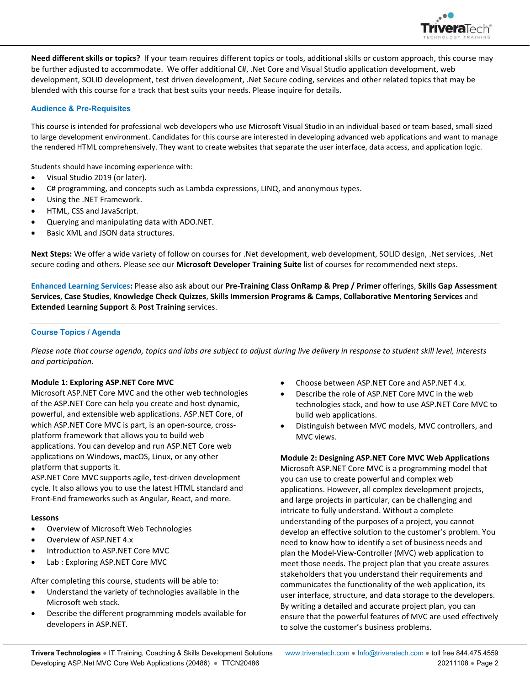

**Need different skills or topics?** If your team requires different topics or tools, additional skills or custom approach, this course may be further adjusted to accommodate. We offer additional C#, .Net Core and Visual Studio application development, web development, SOLID development, test driven development, .Net Secure coding, services and other related topics that may be blended with this course for a track that best suits your needs. Please inquire for details.

# **Audience & Pre-Requisites**

This course is intended for professional web developers who use Microsoft Visual Studio in an individual-based or team-based, small-sized to large development environment. Candidates for this course are interested in developing advanced web applications and want to manage the rendered HTML comprehensively. They want to create websites that separate the user interface, data access, and application logic.

Students should have incoming experience with:

- Visual Studio 2019 (or later).
- C# programming, and concepts such as Lambda expressions, LINQ, and anonymous types.
- Using the .NET Framework.
- HTML, CSS and JavaScript.
- Querying and manipulating data with ADO.NET.
- Basic XML and JSON data structures.

**Next Steps:** We offer a wide variety of follow on courses for .Net development, web development, SOLID design, .Net services, .Net secure coding and others. Please see our **Microsoft Developer Training Suite** list of courses for recommended next steps.

**Enhanced Learning Services:** Please also ask about our **Pre-Training Class OnRamp & Prep / Primer** offerings, **Skills Gap Assessment Services**, **Case Studies**, **Knowledge Check Quizzes**, **Skills Immersion Programs & Camps**, **Collaborative Mentoring Services** and **Extended Learning Support** & **Post Training** services.

# **Course Topics / Agenda**

*Please note that course agenda, topics and labs are subject to adjust during live delivery in response to student skill level, interests and participation.* 

# **Module 1: Exploring ASP.NET Core MVC**

Microsoft ASP.NET Core MVC and the other web technologies of the ASP.NET Core can help you create and host dynamic, powerful, and extensible web applications. ASP.NET Core, of which ASP.NET Core MVC is part, is an open-source, crossplatform framework that allows you to build web applications. You can develop and run ASP.NET Core web applications on Windows, macOS, Linux, or any other platform that supports it.

ASP.NET Core MVC supports agile, test-driven development cycle. It also allows you to use the latest HTML standard and Front-End frameworks such as Angular, React, and more.

# **Lessons**

- Overview of Microsoft Web Technologies
- Overview of ASP.NET 4.x
- Introduction to ASP.NET Core MVC
- Lab : Exploring ASP.NET Core MVC

After completing this course, students will be able to:

- Understand the variety of technologies available in the Microsoft web stack.
- Describe the different programming models available for developers in ASP.NET.
- Choose between ASP.NET Core and ASP.NET 4.x.
- Describe the role of ASP.NET Core MVC in the web technologies stack, and how to use ASP.NET Core MVC to build web applications.
- Distinguish between MVC models, MVC controllers, and MVC views.

# **Module 2: Designing ASP.NET Core MVC Web Applications**

Microsoft ASP.NET Core MVC is a programming model that you can use to create powerful and complex web applications. However, all complex development projects, and large projects in particular, can be challenging and intricate to fully understand. Without a complete understanding of the purposes of a project, you cannot develop an effective solution to the customer's problem. You need to know how to identify a set of business needs and plan the Model-View-Controller (MVC) web application to meet those needs. The project plan that you create assures stakeholders that you understand their requirements and communicates the functionality of the web application, its user interface, structure, and data storage to the developers. By writing a detailed and accurate project plan, you can ensure that the powerful features of MVC are used effectively to solve the customer's business problems.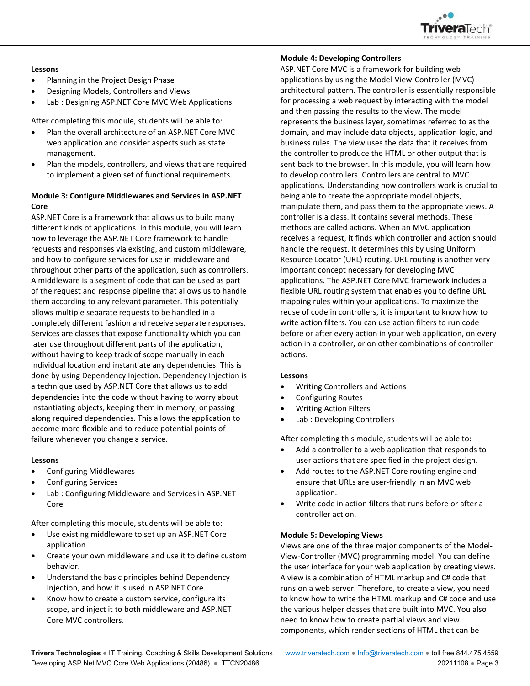

## **Lessons**

- Planning in the Project Design Phase
- Designing Models, Controllers and Views
- Lab : Designing ASP.NET Core MVC Web Applications

After completing this module, students will be able to:

- Plan the overall architecture of an ASP.NET Core MVC web application and consider aspects such as state management.
- Plan the models, controllers, and views that are required to implement a given set of functional requirements.

# **Module 3: Configure Middlewares and Services in ASP.NET Core**

ASP.NET Core is a framework that allows us to build many different kinds of applications. In this module, you will learn how to leverage the ASP.NET Core framework to handle requests and responses via existing, and custom middleware, and how to configure services for use in middleware and throughout other parts of the application, such as controllers. A middleware is a segment of code that can be used as part of the request and response pipeline that allows us to handle them according to any relevant parameter. This potentially allows multiple separate requests to be handled in a completely different fashion and receive separate responses. Services are classes that expose functionality which you can later use throughout different parts of the application, without having to keep track of scope manually in each individual location and instantiate any dependencies. This is done by using Dependency Injection. Dependency Injection is a technique used by ASP.NET Core that allows us to add dependencies into the code without having to worry about instantiating objects, keeping them in memory, or passing along required dependencies. This allows the application to become more flexible and to reduce potential points of failure whenever you change a service.

# **Lessons**

- Configuring Middlewares
- Configuring Services
- Lab : Configuring Middleware and Services in ASP.NET Core

After completing this module, students will be able to:

- Use existing middleware to set up an ASP.NET Core application.
- Create your own middleware and use it to define custom behavior.
- Understand the basic principles behind Dependency Injection, and how it is used in ASP.NET Core.
- Know how to create a custom service, configure its scope, and inject it to both middleware and ASP.NET Core MVC controllers.

# **Module 4: Developing Controllers**

ASP.NET Core MVC is a framework for building web applications by using the Model-View-Controller (MVC) architectural pattern. The controller is essentially responsible for processing a web request by interacting with the model and then passing the results to the view. The model represents the business layer, sometimes referred to as the domain, and may include data objects, application logic, and business rules. The view uses the data that it receives from the controller to produce the HTML or other output that is sent back to the browser. In this module, you will learn how to develop controllers. Controllers are central to MVC applications. Understanding how controllers work is crucial to being able to create the appropriate model objects, manipulate them, and pass them to the appropriate views. A controller is a class. It contains several methods. These methods are called actions. When an MVC application receives a request, it finds which controller and action should handle the request. It determines this by using Uniform Resource Locator (URL) routing. URL routing is another very important concept necessary for developing MVC applications. The ASP.NET Core MVC framework includes a flexible URL routing system that enables you to define URL mapping rules within your applications. To maximize the reuse of code in controllers, it is important to know how to write action filters. You can use action filters to run code before or after every action in your web application, on every action in a controller, or on other combinations of controller actions.

# **Lessons**

- Writing Controllers and Actions
- Configuring Routes
- Writing Action Filters
- Lab : Developing Controllers

After completing this module, students will be able to:

- Add a controller to a web application that responds to user actions that are specified in the project design.
- Add routes to the ASP.NET Core routing engine and ensure that URLs are user-friendly in an MVC web application.
- Write code in action filters that runs before or after a controller action.

# **Module 5: Developing Views**

Views are one of the three major components of the Model-View-Controller (MVC) programming model. You can define the user interface for your web application by creating views. A view is a combination of HTML markup and C# code that runs on a web server. Therefore, to create a view, you need to know how to write the HTML markup and C# code and use the various helper classes that are built into MVC. You also need to know how to create partial views and view components, which render sections of HTML that can be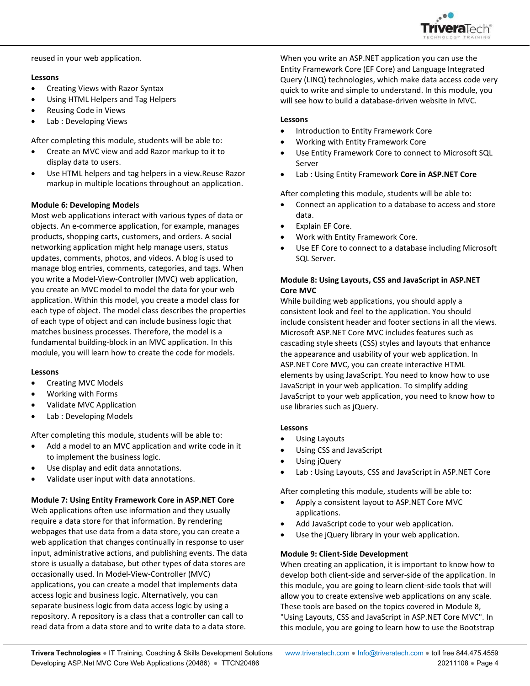

reused in your web application.

# **Lessons**

- Creating Views with Razor Syntax
- Using HTML Helpers and Tag Helpers
- Reusing Code in Views
- Lab : Developing Views

After completing this module, students will be able to:

- Create an MVC view and add Razor markup to it to display data to users.
- Use HTML helpers and tag helpers in a view.Reuse Razor markup in multiple locations throughout an application.

# **Module 6: Developing Models**

Most web applications interact with various types of data or objects. An e-commerce application, for example, manages products, shopping carts, customers, and orders. A social networking application might help manage users, status updates, comments, photos, and videos. A blog is used to manage blog entries, comments, categories, and tags. When you write a Model-View-Controller (MVC) web application, you create an MVC model to model the data for your web application. Within this model, you create a model class for each type of object. The model class describes the properties of each type of object and can include business logic that matches business processes. Therefore, the model is a fundamental building-block in an MVC application. In this module, you will learn how to create the code for models.

# **Lessons**

- Creating MVC Models
- Working with Forms
- Validate MVC Application
- Lab : Developing Models

After completing this module, students will be able to:

- Add a model to an MVC application and write code in it to implement the business logic.
- Use display and edit data annotations.
- Validate user input with data annotations.

# **Module 7: Using Entity Framework Core in ASP.NET Core**

Web applications often use information and they usually require a data store for that information. By rendering webpages that use data from a data store, you can create a web application that changes continually in response to user input, administrative actions, and publishing events. The data store is usually a database, but other types of data stores are occasionally used. In Model-View-Controller (MVC) applications, you can create a model that implements data access logic and business logic. Alternatively, you can separate business logic from data access logic by using a repository. A repository is a class that a controller can call to read data from a data store and to write data to a data store.

When you write an ASP.NET application you can use the Entity Framework Core (EF Core) and Language Integrated Query (LINQ) technologies, which make data access code very quick to write and simple to understand. In this module, you will see how to build a database-driven website in MVC.

## **Lessons**

- Introduction to Entity Framework Core
- Working with Entity Framework Core
- Use Entity Framework Core to connect to Microsoft SQL Server
- Lab : Using Entity Framework **Core in ASP.NET Core**

After completing this module, students will be able to:

- Connect an application to a database to access and store data.
- Explain EF Core.
- Work with Entity Framework Core.
- Use EF Core to connect to a database including Microsoft SQL Server.

# **Module 8: Using Layouts, CSS and JavaScript in ASP.NET Core MVC**

While building web applications, you should apply a consistent look and feel to the application. You should include consistent header and footer sections in all the views. Microsoft ASP.NET Core MVC includes features such as cascading style sheets (CSS) styles and layouts that enhance the appearance and usability of your web application. In ASP.NET Core MVC, you can create interactive HTML elements by using JavaScript. You need to know how to use JavaScript in your web application. To simplify adding JavaScript to your web application, you need to know how to use libraries such as jQuery.

# **Lessons**

- Using Layouts
- Using CSS and JavaScript
- Using jQuery
- Lab : Using Layouts, CSS and JavaScript in ASP.NET Core

After completing this module, students will be able to:

- Apply a consistent layout to ASP.NET Core MVC applications.
- Add JavaScript code to your web application.
- Use the jQuery library in your web application.

# **Module 9: Client-Side Development**

When creating an application, it is important to know how to develop both client-side and server-side of the application. In this module, you are going to learn client-side tools that will allow you to create extensive web applications on any scale. These tools are based on the topics covered in Module 8, "Using Layouts, CSS and JavaScript in ASP.NET Core MVC". In this module, you are going to learn how to use the Bootstrap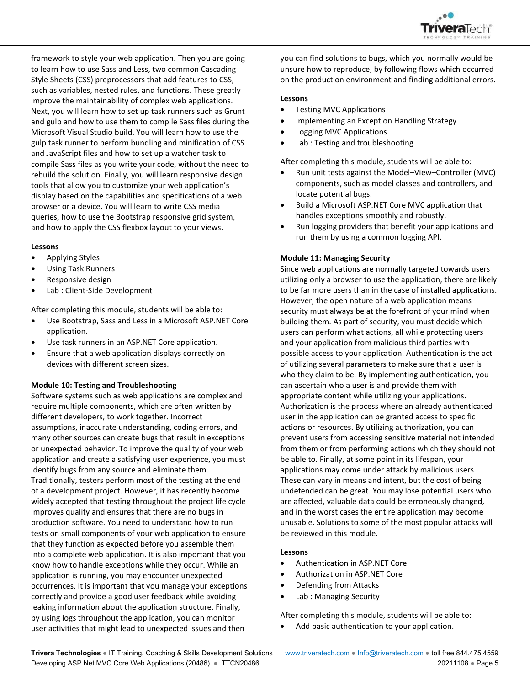

framework to style your web application. Then you are going to learn how to use Sass and Less, two common Cascading Style Sheets (CSS) preprocessors that add features to CSS, such as variables, nested rules, and functions. These greatly improve the maintainability of complex web applications. Next, you will learn how to set up task runners such as Grunt and gulp and how to use them to compile Sass files during the Microsoft Visual Studio build. You will learn how to use the gulp task runner to perform bundling and minification of CSS and JavaScript files and how to set up a watcher task to compile Sass files as you write your code, without the need to rebuild the solution. Finally, you will learn responsive design tools that allow you to customize your web application's display based on the capabilities and specifications of a web browser or a device. You will learn to write CSS media queries, how to use the Bootstrap responsive grid system, and how to apply the CSS flexbox layout to your views.

#### **Lessons**

- Applying Styles
- Using Task Runners
- Responsive design
- Lab : Client-Side Development

After completing this module, students will be able to:

- Use Bootstrap, Sass and Less in a Microsoft ASP.NET Core application.
- Use task runners in an ASP.NET Core application.
- Ensure that a web application displays correctly on devices with different screen sizes.

#### **Module 10: Testing and Troubleshooting**

Software systems such as web applications are complex and require multiple components, which are often written by different developers, to work together. Incorrect assumptions, inaccurate understanding, coding errors, and many other sources can create bugs that result in exceptions or unexpected behavior. To improve the quality of your web application and create a satisfying user experience, you must identify bugs from any source and eliminate them. Traditionally, testers perform most of the testing at the end of a development project. However, it has recently become widely accepted that testing throughout the project life cycle improves quality and ensures that there are no bugs in production software. You need to understand how to run tests on small components of your web application to ensure that they function as expected before you assemble them into a complete web application. It is also important that you know how to handle exceptions while they occur. While an application is running, you may encounter unexpected occurrences. It is important that you manage your exceptions correctly and provide a good user feedback while avoiding leaking information about the application structure. Finally, by using logs throughout the application, you can monitor user activities that might lead to unexpected issues and then

you can find solutions to bugs, which you normally would be unsure how to reproduce, by following flows which occurred on the production environment and finding additional errors.

#### **Lessons**

- Testing MVC Applications
- Implementing an Exception Handling Strategy
- Logging MVC Applications
- Lab : Testing and troubleshooting

After completing this module, students will be able to:

- Run unit tests against the Model–View–Controller (MVC) components, such as model classes and controllers, and locate potential bugs.
- Build a Microsoft ASP.NET Core MVC application that handles exceptions smoothly and robustly.
- Run logging providers that benefit your applications and run them by using a common logging API.

#### **Module 11: Managing Security**

Since web applications are normally targeted towards users utilizing only a browser to use the application, there are likely to be far more users than in the case of installed applications. However, the open nature of a web application means security must always be at the forefront of your mind when building them. As part of security, you must decide which users can perform what actions, all while protecting users and your application from malicious third parties with possible access to your application. Authentication is the act of utilizing several parameters to make sure that a user is who they claim to be. By implementing authentication, you can ascertain who a user is and provide them with appropriate content while utilizing your applications. Authorization is the process where an already authenticated user in the application can be granted access to specific actions or resources. By utilizing authorization, you can prevent users from accessing sensitive material not intended from them or from performing actions which they should not be able to. Finally, at some point in its lifespan, your applications may come under attack by malicious users. These can vary in means and intent, but the cost of being undefended can be great. You may lose potential users who are affected, valuable data could be erroneously changed, and in the worst cases the entire application may become unusable. Solutions to some of the most popular attacks will be reviewed in this module.

## **Lessons**

- Authentication in ASP.NET Core
- Authorization in ASP.NET Core
- Defending from Attacks
- Lab : Managing Security

After completing this module, students will be able to:

Add basic authentication to your application.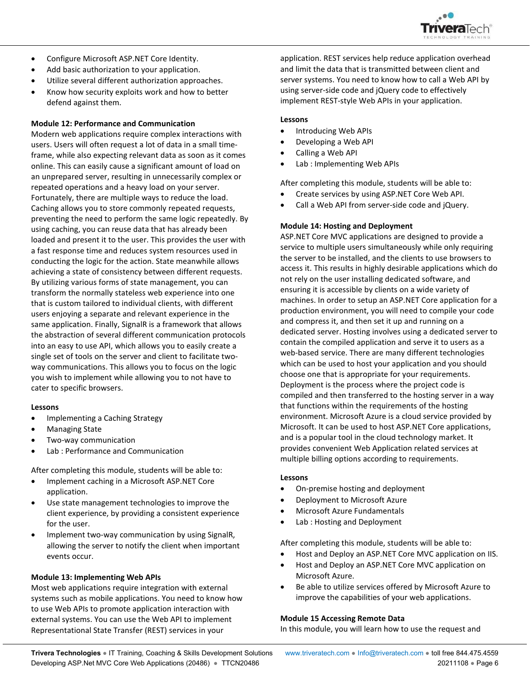

- Configure Microsoft ASP.NET Core Identity.
- Add basic authorization to your application.
- Utilize several different authorization approaches.
- Know how security exploits work and how to better defend against them.

## **Module 12: Performance and Communication**

Modern web applications require complex interactions with users. Users will often request a lot of data in a small timeframe, while also expecting relevant data as soon as it comes online. This can easily cause a significant amount of load on an unprepared server, resulting in unnecessarily complex or repeated operations and a heavy load on your server. Fortunately, there are multiple ways to reduce the load. Caching allows you to store commonly repeated requests, preventing the need to perform the same logic repeatedly. By using caching, you can reuse data that has already been loaded and present it to the user. This provides the user with a fast response time and reduces system resources used in conducting the logic for the action. State meanwhile allows achieving a state of consistency between different requests. By utilizing various forms of state management, you can transform the normally stateless web experience into one that is custom tailored to individual clients, with different users enjoying a separate and relevant experience in the same application. Finally, SignalR is a framework that allows the abstraction of several different communication protocols into an easy to use API, which allows you to easily create a single set of tools on the server and client to facilitate twoway communications. This allows you to focus on the logic you wish to implement while allowing you to not have to cater to specific browsers.

#### **Lessons**

- Implementing a Caching Strategy
- Managing State
- Two-way communication
- Lab : Performance and Communication

After completing this module, students will be able to:

- Implement caching in a Microsoft ASP.NET Core application.
- Use state management technologies to improve the client experience, by providing a consistent experience for the user.
- Implement two-way communication by using SignalR, allowing the server to notify the client when important events occur.

# **Module 13: Implementing Web APIs**

Most web applications require integration with external systems such as mobile applications. You need to know how to use Web APIs to promote application interaction with external systems. You can use the Web API to implement Representational State Transfer (REST) services in your

application. REST services help reduce application overhead and limit the data that is transmitted between client and server systems. You need to know how to call a Web API by using server-side code and jQuery code to effectively implement REST-style Web APIs in your application.

# **Lessons**

- Introducing Web APIs
- Developing a Web API
- Calling a Web API
- Lab : Implementing Web APIs

After completing this module, students will be able to:

- Create services by using ASP.NET Core Web API.
- Call a Web API from server-side code and jQuery.

# **Module 14: Hosting and Deployment**

ASP.NET Core MVC applications are designed to provide a service to multiple users simultaneously while only requiring the server to be installed, and the clients to use browsers to access it. This results in highly desirable applications which do not rely on the user installing dedicated software, and ensuring it is accessible by clients on a wide variety of machines. In order to setup an ASP.NET Core application for a production environment, you will need to compile your code and compress it, and then set it up and running on a dedicated server. Hosting involves using a dedicated server to contain the compiled application and serve it to users as a web-based service. There are many different technologies which can be used to host your application and you should choose one that is appropriate for your requirements. Deployment is the process where the project code is compiled and then transferred to the hosting server in a way that functions within the requirements of the hosting environment. Microsoft Azure is a cloud service provided by Microsoft. It can be used to host ASP.NET Core applications, and is a popular tool in the cloud technology market. It provides convenient Web Application related services at multiple billing options according to requirements.

#### **Lessons**

- On-premise hosting and deployment
- Deployment to Microsoft Azure
- Microsoft Azure Fundamentals
- Lab : Hosting and Deployment

After completing this module, students will be able to:

- Host and Deploy an ASP.NET Core MVC application on IIS.
- Host and Deploy an ASP.NET Core MVC application on Microsoft Azure.
- Be able to utilize services offered by Microsoft Azure to improve the capabilities of your web applications.

# **Module 15 Accessing Remote Data**

In this module, you will learn how to use the request and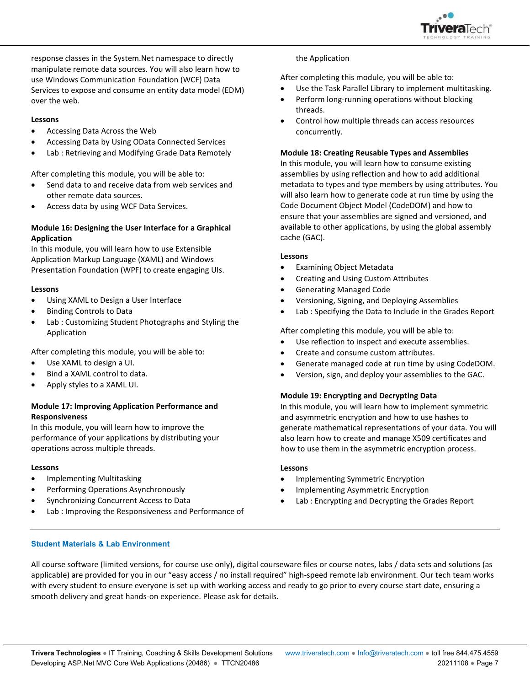

response classes in the System.Net namespace to directly manipulate remote data sources. You will also learn how to use Windows Communication Foundation (WCF) Data Services to expose and consume an entity data model (EDM) over the web.

## **Lessons**

- Accessing Data Across the Web
- Accessing Data by Using OData Connected Services
- Lab : Retrieving and Modifying Grade Data Remotely

After completing this module, you will be able to:

- Send data to and receive data from web services and other remote data sources.
- Access data by using WCF Data Services.

# **Module 16: Designing the User Interface for a Graphical Application**

In this module, you will learn how to use Extensible Application Markup Language (XAML) and Windows Presentation Foundation (WPF) to create engaging UIs.

## **Lessons**

- Using XAML to Design a User Interface
- Binding Controls to Data
- Lab : Customizing Student Photographs and Styling the Application

After completing this module, you will be able to:

- Use XAML to design a UI.
- Bind a XAML control to data.
- Apply styles to a XAML UI.

# **Module 17: Improving Application Performance and Responsiveness**

In this module, you will learn how to improve the performance of your applications by distributing your operations across multiple threads.

#### **Lessons**

- Implementing Multitasking
- Performing Operations Asynchronously
- Synchronizing Concurrent Access to Data
- Lab : Improving the Responsiveness and Performance of

#### the Application

After completing this module, you will be able to:

- Use the Task Parallel Library to implement multitasking.
- Perform long-running operations without blocking threads.
- Control how multiple threads can access resources concurrently.

## **Module 18: Creating Reusable Types and Assemblies**

In this module, you will learn how to consume existing assemblies by using reflection and how to add additional metadata to types and type members by using attributes. You will also learn how to generate code at run time by using the Code Document Object Model (CodeDOM) and how to ensure that your assemblies are signed and versioned, and available to other applications, by using the global assembly cache (GAC).

#### **Lessons**

- Examining Object Metadata
- Creating and Using Custom Attributes
- Generating Managed Code
- Versioning, Signing, and Deploying Assemblies
- Lab : Specifying the Data to Include in the Grades Report

After completing this module, you will be able to:

- Use reflection to inspect and execute assemblies.
- Create and consume custom attributes.
- Generate managed code at run time by using CodeDOM.
- Version, sign, and deploy your assemblies to the GAC.

# **Module 19: Encrypting and Decrypting Data**

In this module, you will learn how to implement symmetric and asymmetric encryption and how to use hashes to generate mathematical representations of your data. You will also learn how to create and manage X509 certificates and how to use them in the asymmetric encryption process.

#### **Lessons**

- Implementing Symmetric Encryption
- Implementing Asymmetric Encryption
- Lab : Encrypting and Decrypting the Grades Report

### **Student Materials & Lab Environment**

All course software (limited versions, for course use only), digital courseware files or course notes, labs / data sets and solutions (as applicable) are provided for you in our "easy access / no install required" high-speed remote lab environment. Our tech team works with every student to ensure everyone is set up with working access and ready to go prior to every course start date, ensuring a smooth delivery and great hands-on experience. Please ask for details.